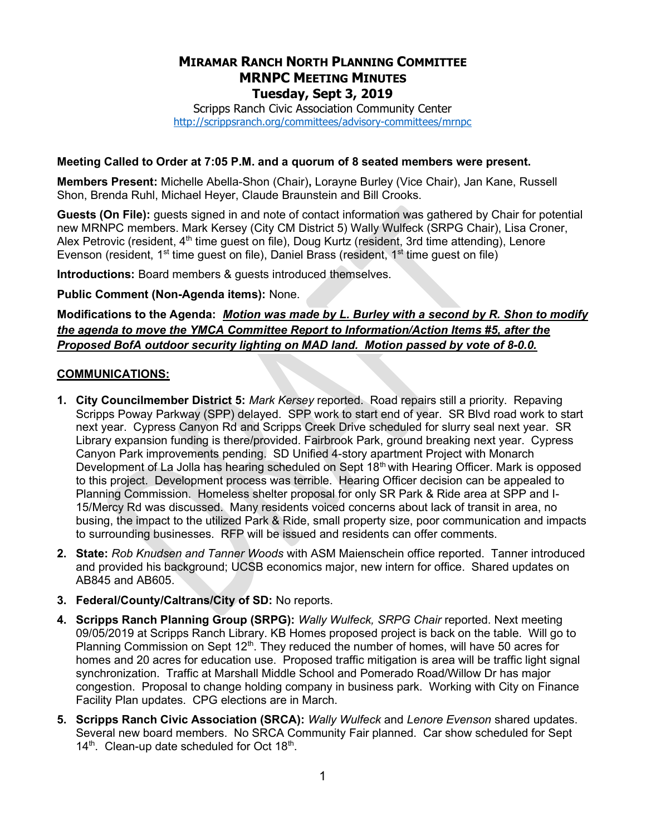# MIRAMAR RANCH NORTH PLANNING COMMITTEE MRNPC MEETING MINUTES Tuesday, Sept 3, 2019

Scripps Ranch Civic Association Community Center http://scrippsranch.org/committees/advisory-committees/mrnpc

#### Meeting Called to Order at 7:05 P.M. and a quorum of 8 seated members were present.

Members Present: Michelle Abella-Shon (Chair), Lorayne Burley (Vice Chair), Jan Kane, Russell Shon, Brenda Ruhl, Michael Heyer, Claude Braunstein and Bill Crooks.

Guests (On File): guests signed in and note of contact information was gathered by Chair for potential new MRNPC members. Mark Kersey (City CM District 5) Wally Wulfeck (SRPG Chair), Lisa Croner, Alex Petrovic (resident,  $4<sup>th</sup>$  time guest on file), Doug Kurtz (resident, 3rd time attending), Lenore Evenson (resident, 1<sup>st</sup> time guest on file), Daniel Brass (resident, 1<sup>st</sup> time guest on file)

Introductions: Board members & guests introduced themselves.

Public Comment (Non-Agenda items): None.

Modifications to the Agenda: Motion was made by L. Burley with a second by R. Shon to modify the agenda to move the YMCA Committee Report to Information/Action Items #5, after the Proposed BofA outdoor security lighting on MAD land. Motion passed by vote of 8-0.0.

#### COMMUNICATIONS:

- 1. City Councilmember District 5: Mark Kersey reported. Road repairs still a priority. Repaving Scripps Poway Parkway (SPP) delayed. SPP work to start end of year. SR Blvd road work to start next year. Cypress Canyon Rd and Scripps Creek Drive scheduled for slurry seal next year. SR Library expansion funding is there/provided. Fairbrook Park, ground breaking next year. Cypress Canyon Park improvements pending. SD Unified 4-story apartment Project with Monarch Development of La Jolla has hearing scheduled on Sept 18<sup>th</sup> with Hearing Officer. Mark is opposed to this project. Development process was terrible. Hearing Officer decision can be appealed to Planning Commission. Homeless shelter proposal for only SR Park & Ride area at SPP and I-15/Mercy Rd was discussed. Many residents voiced concerns about lack of transit in area, no busing, the impact to the utilized Park & Ride, small property size, poor communication and impacts to surrounding businesses. RFP will be issued and residents can offer comments.
- 2. State: Rob Knudsen and Tanner Woods with ASM Maienschein office reported. Tanner introduced and provided his background; UCSB economics major, new intern for office. Shared updates on AB845 and AB605.
- 3. Federal/County/Caltrans/City of SD: No reports.
- 4. Scripps Ranch Planning Group (SRPG): Wally Wulfeck, SRPG Chair reported. Next meeting 09/05/2019 at Scripps Ranch Library. KB Homes proposed project is back on the table. Will go to Planning Commission on Sept 12<sup>th</sup>. They reduced the number of homes, will have 50 acres for homes and 20 acres for education use. Proposed traffic mitigation is area will be traffic light signal synchronization. Traffic at Marshall Middle School and Pomerado Road/Willow Dr has major congestion. Proposal to change holding company in business park. Working with City on Finance Facility Plan updates. CPG elections are in March.
- 5. Scripps Ranch Civic Association (SRCA): Wally Wulfeck and Lenore Evenson shared updates. Several new board members. No SRCA Community Fair planned. Car show scheduled for Sept  $14<sup>th</sup>$ . Clean-up date scheduled for Oct  $18<sup>th</sup>$ .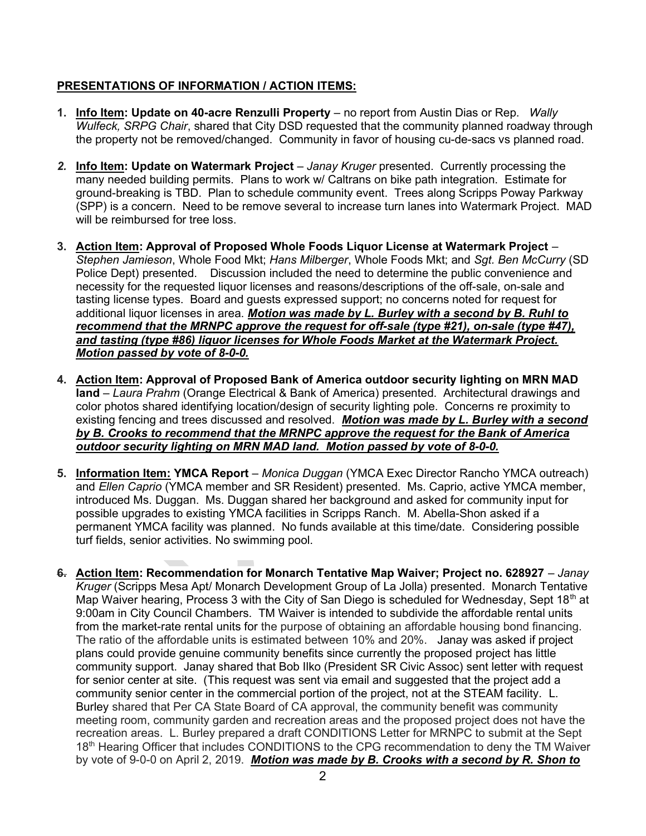### PRESENTATIONS OF INFORMATION / ACTION ITEMS:

- 1. Info Item: Update on 40-acre Renzulli Property no report from Austin Dias or Rep. Wally Wulfeck, SRPG Chair, shared that City DSD requested that the community planned roadway through the property not be removed/changed. Community in favor of housing cu-de-sacs vs planned road.
- 2. Info Item: Update on Watermark Project Janay Kruger presented. Currently processing the many needed building permits. Plans to work w/ Caltrans on bike path integration. Estimate for ground-breaking is TBD. Plan to schedule community event. Trees along Scripps Poway Parkway (SPP) is a concern. Need to be remove several to increase turn lanes into Watermark Project. MAD will be reimbursed for tree loss.
- 3. Action Item: Approval of Proposed Whole Foods Liquor License at Watermark Project Stephen Jamieson, Whole Food Mkt; Hans Milberger, Whole Foods Mkt; and Sgt. Ben McCurry (SD Police Dept) presented. Discussion included the need to determine the public convenience and necessity for the requested liquor licenses and reasons/descriptions of the off-sale, on-sale and tasting license types. Board and guests expressed support; no concerns noted for request for additional liquor licenses in area. Motion was made by L. Burley with a second by B. Ruhl to recommend that the MRNPC approve the request for off-sale (type #21), on-sale (type #47), and tasting (type #86) liquor licenses for Whole Foods Market at the Watermark Project. Motion passed by vote of 8-0-0.
- 4. Action Item: Approval of Proposed Bank of America outdoor security lighting on MRN MAD land – Laura Prahm (Orange Electrical & Bank of America) presented. Architectural drawings and color photos shared identifying location/design of security lighting pole. Concerns re proximity to existing fencing and trees discussed and resolved. Motion was made by L. Burley with a second by B. Crooks to recommend that the MRNPC approve the request for the Bank of America outdoor security lighting on MRN MAD land. Motion passed by vote of 8-0-0.
- 5. Information Item: YMCA Report Monica Duggan (YMCA Exec Director Rancho YMCA outreach) and Ellen Caprio (YMCA member and SR Resident) presented. Ms. Caprio, active YMCA member, introduced Ms. Duggan. Ms. Duggan shared her background and asked for community input for possible upgrades to existing YMCA facilities in Scripps Ranch. M. Abella-Shon asked if a permanent YMCA facility was planned. No funds available at this time/date. Considering possible turf fields, senior activities. No swimming pool.
- 6. Action Item: Recommendation for Monarch Tentative Map Waiver; Project no. 628927 Janay Kruger (Scripps Mesa Apt/ Monarch Development Group of La Jolla) presented. Monarch Tentative Map Waiver hearing, Process 3 with the City of San Diego is scheduled for Wednesday, Sept 18<sup>th</sup> at 9:00am in City Council Chambers. TM Waiver is intended to subdivide the affordable rental units from the market-rate rental units for the purpose of obtaining an affordable housing bond financing. The ratio of the affordable units is estimated between 10% and 20%. Janay was asked if project plans could provide genuine community benefits since currently the proposed project has little community support. Janay shared that Bob Ilko (President SR Civic Assoc) sent letter with request for senior center at site. (This request was sent via email and suggested that the project add a community senior center in the commercial portion of the project, not at the STEAM facility. L. Burley shared that Per CA State Board of CA approval, the community benefit was community meeting room, community garden and recreation areas and the proposed project does not have the recreation areas. L. Burley prepared a draft CONDITIONS Letter for MRNPC to submit at the Sept 18<sup>th</sup> Hearing Officer that includes CONDITIONS to the CPG recommendation to deny the TM Waiver by vote of 9-0-0 on April 2, 2019. Motion was made by B. Crooks with a second by R. Shon to